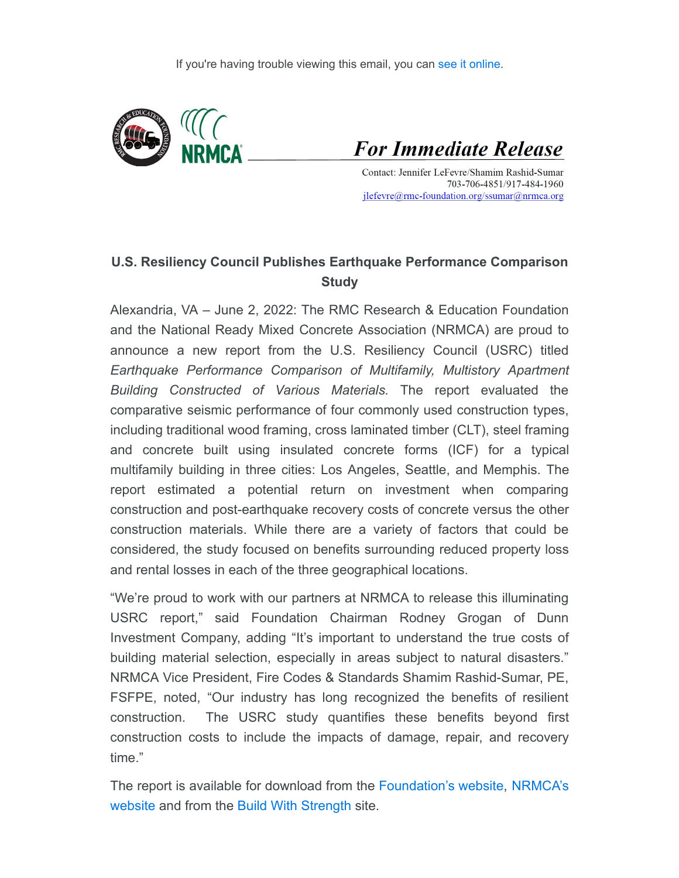

**For Immediate Release** 

Contact: Jennifer LeFevre/Shamim Rashid-Sumar 703-706-4851/917-484-1960 jlefevre@rmc-foundation.org/ssumar@nrmca.org

## **U.S. Resiliency Council Publishes Earthquake Performance Comparison Study**

Alexandria, VA – June 2, 2022: The RMC Research & Education Foundation and the National Ready Mixed Concrete Association (NRMCA) are proud to announce a new report from the U.S. Resiliency Council (USRC) titled *Earthquake Performance Comparison of Multifamily, Multistory Apartment Building Constructed of Various Materials.* The report evaluated the comparative seismic performance of four commonly used construction types, including traditional wood framing, cross laminated timber (CLT), steel framing and concrete built using insulated concrete forms (ICF) for a typical multifamily building in three cities: Los Angeles, Seattle, and Memphis. The report estimated a potential return on investment when comparing construction and post-earthquake recovery costs of concrete versus the other construction materials. While there are a variety of factors that could be considered, the study focused on benefits surrounding reduced property loss and rental losses in each of the three geographical locations.

"We're proud to work with our partners at NRMCA to release this illuminating USRC report," said Foundation Chairman Rodney Grogan of Dunn Investment Company, adding "It's important to understand the true costs of building material selection, especially in areas subject to natural disasters." NRMCA Vice President, Fire Codes & Standards Shamim Rashid-Sumar, PE, FSFPE, noted, "Our industry has long recognized the benefits of resilient construction. The USRC study quantifies these benefits beyond first construction costs to include the impacts of damage, repair, and recovery time."

[The report is available for download from the Foundation's website, NRMCA's](https://rmcfoundation.app.neoncrm.com/track//servlet/DisplayLink?orgId=rmcfoundation&emailId=7f47b67fdc11852453db05704cac9d797m653497f4&&linkId=7386&targetUrl=https://www.nrmca.org/wp-content/uploads/2022/06/Earthquake_Performance_Comparison_Multifamily_Multistory_Apartment_Building.pdf) website and from the [Build With Strength](https://rmcfoundation.app.neoncrm.com/track//servlet/DisplayLink?orgId=rmcfoundation&emailId=7f47b67fdc11852453db05704cac9d797m653497f4&&linkId=7389&targetUrl=https://protect-us.mimecast.com/s/sCEgC31vLMSO0m7Tg8_3J?domain=buildwithstrength.com) site.